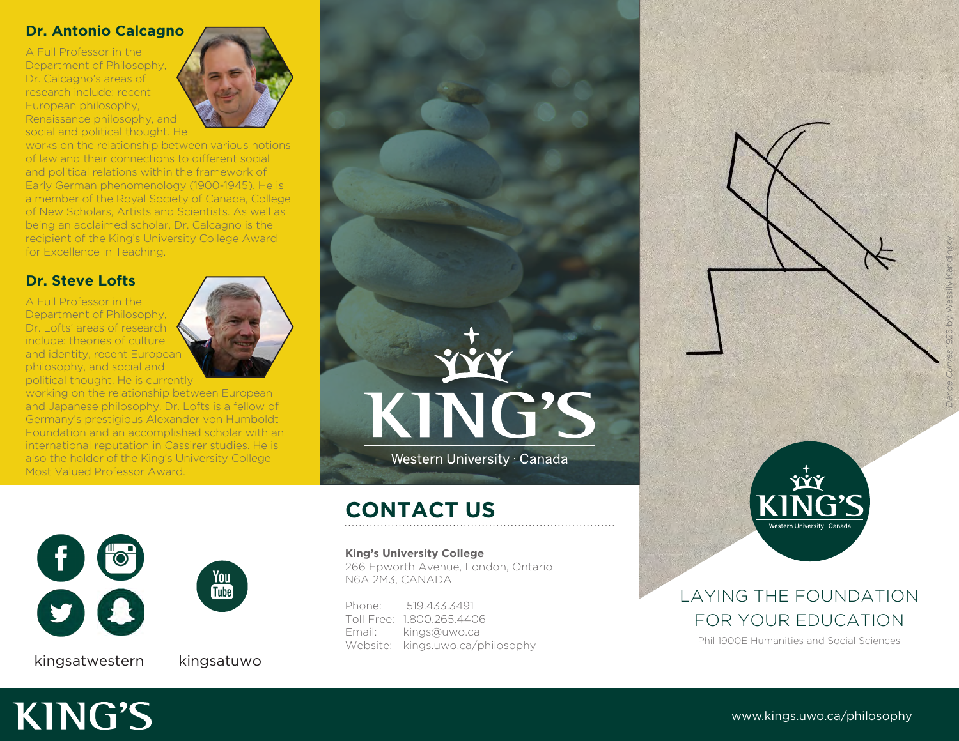#### **Dr. Antonio Calcagno**

A Full Professor in the Department of Philosophy, Dr. Calcagno's areas of research include: recent European philosophy, Renaissance philosophy, and social and political thought. He



works on the relationship between various notions of law and their connections to different social and political relations within the framework of Early German phenomenology (1900-1945). He is a member of the Royal Society of Canada, College of New Scholars, Artists and Scientists. As well as being an acclaimed scholar, Dr. Calcagno is the recipient of the King's University College Award for Excellence in Teaching.

### **Dr. Steve Lofts**

A Full Professor in the Department of Philosophy, Dr. Lofts' areas of research include: theories of culture and identity, recent European philosophy, and social and political thought. He is currently



working on the relationship between European and Japanese philosophy. Dr. Lofts is a fellow of Germany's prestigious Alexander von Humboldt Foundation and an accomplished scholar with an international reputation in Cassirer studies. He is also the holder of the King's University College Most Valued Professor Award.



KING'S

Western University · Canada

 $\begin{array}{c} \textbf{f} \ \textbf{c} \ \textbf{c} \end{array}$ You<br>Tube

kingsatwestern kingsatuwo

**KING'S** 

# **CONTACT US**

**King's University College**

266 Epworth Avenue, London, Ontario N6A 2M3, CANADA

Phone: 519.433.3491 Toll Free: 1.800.265.4406 Email: kings@uwo.ca Website: kings.uwo.ca/philosophy



## LAYING THE FOUNDATION FOR YOUR EDUCATION

Phil 1900E Humanities and Social Sciences